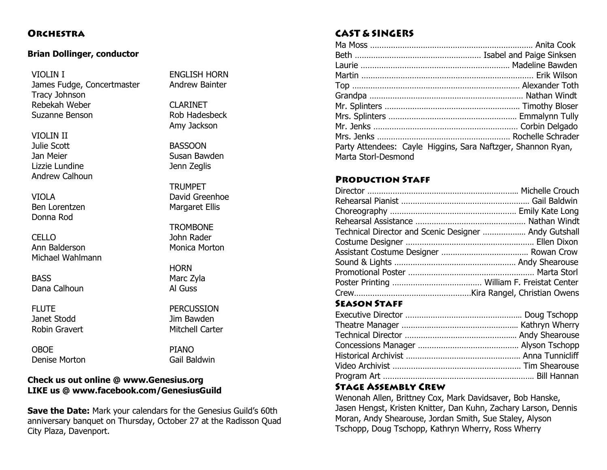## **ORCHESTRA**

#### **Brian Dollinger, conductor**

VIOLIN I James Fudge, Concertmaster Tracy Johnson Rebekah Weber Suzanne Benson

VIOLIN II Julie Scott Jan Meier Lizzie Lundine Andrew Calhoun

VIOLA Ben Lorentzen Donna Rod

CELLO Ann Balderson Michael Wahlmann

**BASS** Dana Calhoun

FLUTE Janet Stodd Robin Gravert

OBOE Denise Morton

ENGLISH HORN Andrew Bainter

CLARINET Rob Hadesbeck Amy Jackson

BASSOON Susan Bawden Jenn Zeglis

**TRUMPET** David Greenhoe Margaret Ellis

**TROMBONE** John Rader Monica Morton

**HORN** Marc Zyla Al Guss

PERCUSSION Jim Bawden Mitchell Carter

PIANO Gail Baldwin

## **Check us out online @ www.Genesius.org LIKE us @ www.facebook.com/GenesiusGuild**

**Save the Date:** Mark your calendars for the Genesius Guild's 60th anniversary banquet on Thursday, October 27 at the Radisson Quad City Plaza, Davenport.

## **CAST & SINGERS**

| Party Attendees: Cayle Higgins, Sara Naftzger, Shannon Ryan, |  |
|--------------------------------------------------------------|--|
| Marta Storl-Desmond                                          |  |

## **PRODUCTION STAFF**

| Technical Director and Scenic Designer  Andy Gutshall |  |
|-------------------------------------------------------|--|
|                                                       |  |
|                                                       |  |
|                                                       |  |
|                                                       |  |
|                                                       |  |
|                                                       |  |

## **SEASON STAFF**

#### **STAGE ASSEMBLY CREW**

Wenonah Allen, Brittney Cox, Mark Davidsaver, Bob Hanske, Jasen Hengst, Kristen Knitter, Dan Kuhn, Zachary Larson, Dennis Moran, Andy Shearouse, Jordan Smith, Sue Staley, Alyson Tschopp, Doug Tschopp, Kathryn Wherry, Ross Wherry